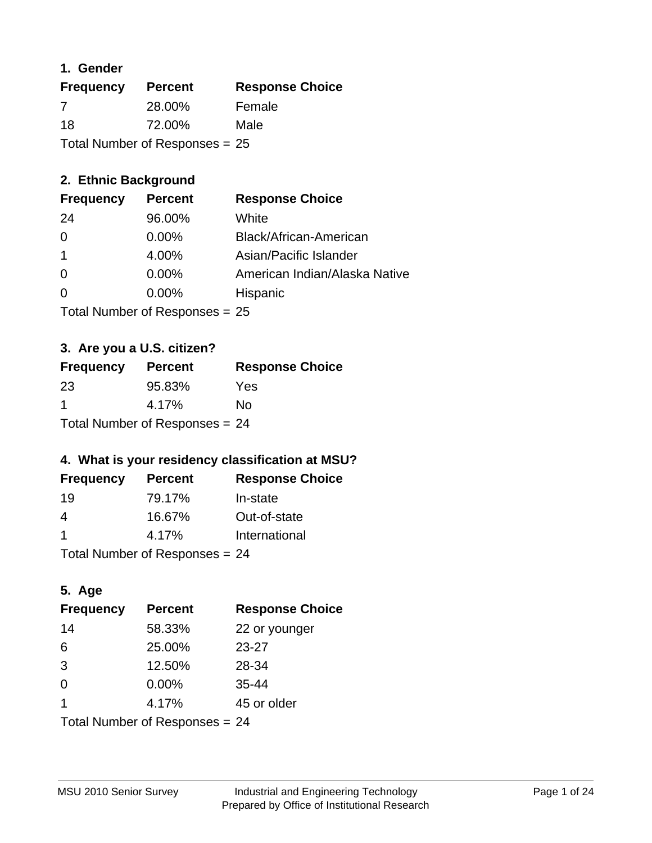### **1. Gender**

| <b>Frequency</b> | <b>Percent</b>                   | <b>Response Choice</b> |
|------------------|----------------------------------|------------------------|
| 7                | 28.00%                           | Female                 |
| 18               | 72.00%                           | Male                   |
|                  | Total Number of Responses = $25$ |                        |

# **2. Ethnic Background**

| <b>Frequency</b> | <b>Percent</b> | <b>Response Choice</b>        |
|------------------|----------------|-------------------------------|
| 24               | 96.00%         | White                         |
| $\Omega$         | 0.00%          | Black/African-American        |
| 1                | 4.00%          | Asian/Pacific Islander        |
| $\Omega$         | 0.00%          | American Indian/Alaska Native |
| $\Omega$         | 0.00%          | Hispanic                      |
|                  |                |                               |

Total Number of Responses = 25

# **3. Are you a U.S. citizen?**

| <b>Frequency</b>                 | <b>Percent</b> | <b>Response Choice</b> |
|----------------------------------|----------------|------------------------|
| -23                              | 95.83%         | Yes                    |
| -1                               | 4.17%          | N٥                     |
| Total Number of Responses = $24$ |                |                        |

# **4. What is your residency classification at MSU?**

| <b>Frequency</b> | <b>Percent</b> | <b>Response Choice</b> |
|------------------|----------------|------------------------|
| 19               | 79.17%         | In-state               |
| 4                | 16.67%         | Out-of-state           |
|                  | 4.17%          | International          |
|                  |                |                        |

Total Number of Responses = 24

# **5. Age**

| <b>Frequency</b>               | <b>Percent</b> | <b>Response Choice</b> |
|--------------------------------|----------------|------------------------|
| 14                             | 58.33%         | 22 or younger          |
| 6                              | 25.00%         | $23 - 27$              |
| 3                              | 12.50%         | 28-34                  |
| $\Omega$                       | 0.00%          | $35 - 44$              |
| -1                             | 4.17%          | 45 or older            |
| Total Number of Responses = 24 |                |                        |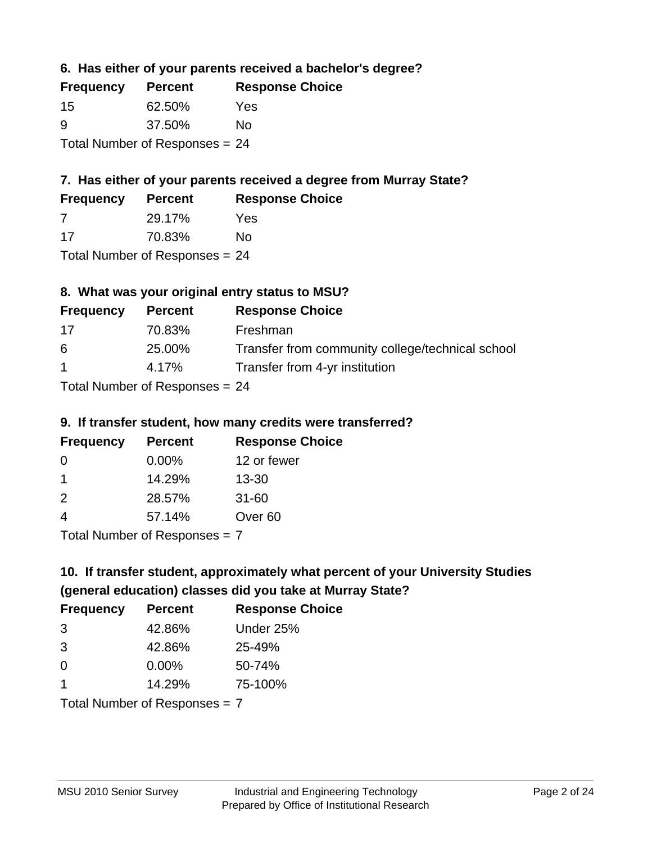**6. Has either of your parents received a bachelor's degree?**

| <b>Frequency</b> | <b>Percent</b>                   | <b>Response Choice</b> |
|------------------|----------------------------------|------------------------|
| -15              | 62.50%                           | Yes                    |
| 9                | 37.50%                           | Nο                     |
|                  | Total Number of Responses $= 24$ |                        |

# **7. Has either of your parents received a degree from Murray State?**

| <b>Frequency</b> | <b>Percent</b> | <b>Response Choice</b> |
|------------------|----------------|------------------------|
| -7               | 29.17%         | Yes                    |
| -17              | 70.83%         | No                     |

Total Number of Responses = 24

# **8. What was your original entry status to MSU?**

| <b>Frequency</b>     | <b>Percent</b>             | <b>Response Choice</b>                           |
|----------------------|----------------------------|--------------------------------------------------|
| 17                   | 70.83%                     | Freshman                                         |
| 6                    | 25.00%                     | Transfer from community college/technical school |
| $\blacktriangleleft$ | 4.17%                      | Transfer from 4-yr institution                   |
|                      | Tatal Number of Desperance |                                                  |

Total Number of Responses = 24

#### **9. If transfer student, how many credits were transferred?**

| <b>Frequency</b>           | <b>Percent</b> | <b>Response Choice</b> |
|----------------------------|----------------|------------------------|
| -0                         | $0.00\%$       | 12 or fewer            |
|                            | 14.29%         | $13 - 30$              |
| $\mathcal{P}$              | 28.57%         | $31 - 60$              |
| $\overline{4}$             | 57.14%         | Over <sub>60</sub>     |
| Tatal Number of Desperance |                |                        |

Total Number of Responses = 7

# **10. If transfer student, approximately what percent of your University Studies (general education) classes did you take at Murray State?**

| <b>Frequency</b>                | <b>Percent</b> | <b>Response Choice</b> |
|---------------------------------|----------------|------------------------|
| 3                               | 42.86%         | Under 25%              |
| 3                               | 42.86%         | 25-49%                 |
| $\Omega$                        | $0.00\%$       | 50-74%                 |
| $\mathbf 1$                     | 14.29%         | 75-100%                |
| Total Number of Responses $= 7$ |                |                        |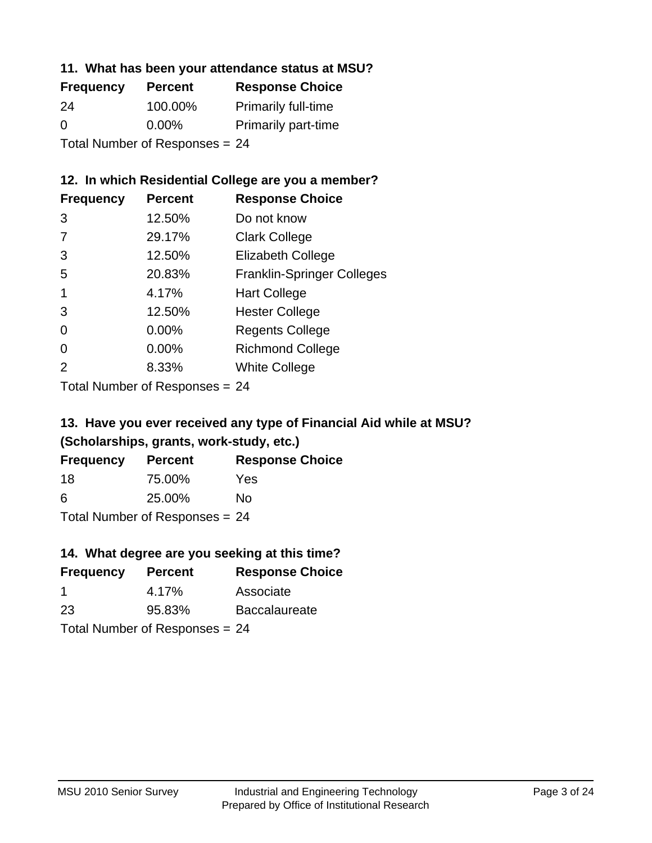### **11. What has been your attendance status at MSU?**

| <b>Frequency</b>               | <b>Percent</b> | <b>Response Choice</b>     |
|--------------------------------|----------------|----------------------------|
| 24                             | 100.00%        | <b>Primarily full-time</b> |
| $\Omega$                       | $0.00\%$       | <b>Primarily part-time</b> |
| Total Number of Responses = 24 |                |                            |

# **12. In which Residential College are you a member?**

| <b>Frequency</b> | <b>Percent</b> | <b>Response Choice</b>            |
|------------------|----------------|-----------------------------------|
| 3                | 12.50%         | Do not know                       |
| 7                | 29.17%         | <b>Clark College</b>              |
| 3                | 12.50%         | <b>Elizabeth College</b>          |
| 5                | 20.83%         | <b>Franklin-Springer Colleges</b> |
|                  | 4.17%          | <b>Hart College</b>               |
| 3                | 12.50%         | <b>Hester College</b>             |
| 0                | $0.00\%$       | <b>Regents College</b>            |
| 0                | 0.00%          | <b>Richmond College</b>           |
| 2                | 8.33%          | <b>White College</b>              |
|                  |                |                                   |

Total Number of Responses = 24

# **13. Have you ever received any type of Financial Aid while at MSU? (Scholarships, grants, work-study, etc.)**

| <b>Frequency</b>               | <b>Percent</b> | <b>Response Choice</b> |  |
|--------------------------------|----------------|------------------------|--|
| 18                             | 75.00%         | Yes                    |  |
| 6                              | 25.00%         | Nο                     |  |
| Total Number of Responses = 24 |                |                        |  |

**14. What degree are you seeking at this time?**

| <b>Frequency</b> | <b>Percent</b>                 | <b>Response Choice</b> |
|------------------|--------------------------------|------------------------|
| -1               | 4.17%                          | Associate              |
| 23               | 95.83%                         | <b>Baccalaureate</b>   |
|                  | Total Number of Responses = 24 |                        |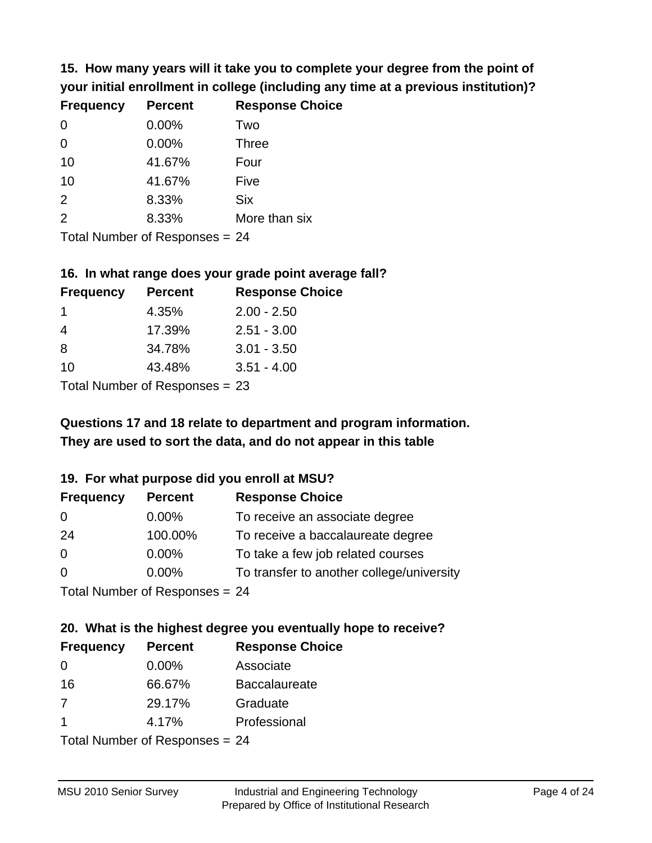**15. How many years will it take you to complete your degree from the point of your initial enrollment in college (including any time at a previous institution)?**

| <b>Frequency</b> | <b>Percent</b> | <b>Response Choice</b> |
|------------------|----------------|------------------------|
| 0                | 0.00%          | Two                    |
| $\Omega$         | 0.00%          | <b>Three</b>           |
| 10               | 41.67%         | Four                   |
| 10               | 41.67%         | Five                   |
| 2                | 8.33%          | <b>Six</b>             |
| 2                | 8.33%          | More than six          |
|                  |                |                        |

Total Number of Responses = 24

#### **16. In what range does your grade point average fall?**

| <b>Frequency</b>           | <b>Percent</b> | <b>Response Choice</b> |
|----------------------------|----------------|------------------------|
|                            | 4.35%          | $2.00 - 2.50$          |
| 4                          | 17.39%         | $2.51 - 3.00$          |
| 8                          | 34.78%         | $3.01 - 3.50$          |
| 10                         | 43.48%         | $3.51 - 4.00$          |
| Tetal Number of Desperance |                |                        |

Total Number of Responses = 23

# **They are used to sort the data, and do not appear in this table Questions 17 and 18 relate to department and program information.**

#### **19. For what purpose did you enroll at MSU?**

| <b>Frequency</b> | <b>Percent</b>                 | <b>Response Choice</b>                    |
|------------------|--------------------------------|-------------------------------------------|
| 0                | $0.00\%$                       | To receive an associate degree            |
| 24               | 100.00%                        | To receive a baccalaureate degree         |
| $\overline{0}$   | $0.00\%$                       | To take a few job related courses         |
| $\Omega$         | 0.00%                          | To transfer to another college/university |
|                  | Total Number of Responses = 24 |                                           |

# **20. What is the highest degree you eventually hope to receive?**

| <b>Frequency</b>        | <b>Percent</b>             | <b>Response Choice</b> |
|-------------------------|----------------------------|------------------------|
| $\Omega$                | $0.00\%$                   | Associate              |
| 16                      | 66.67%                     | <b>Baccalaureate</b>   |
| 7                       | 29.17%                     | Graduate               |
| $\overline{\mathbf{1}}$ | 4.17%                      | Professional           |
|                         | Total Number of Deepersoon |                        |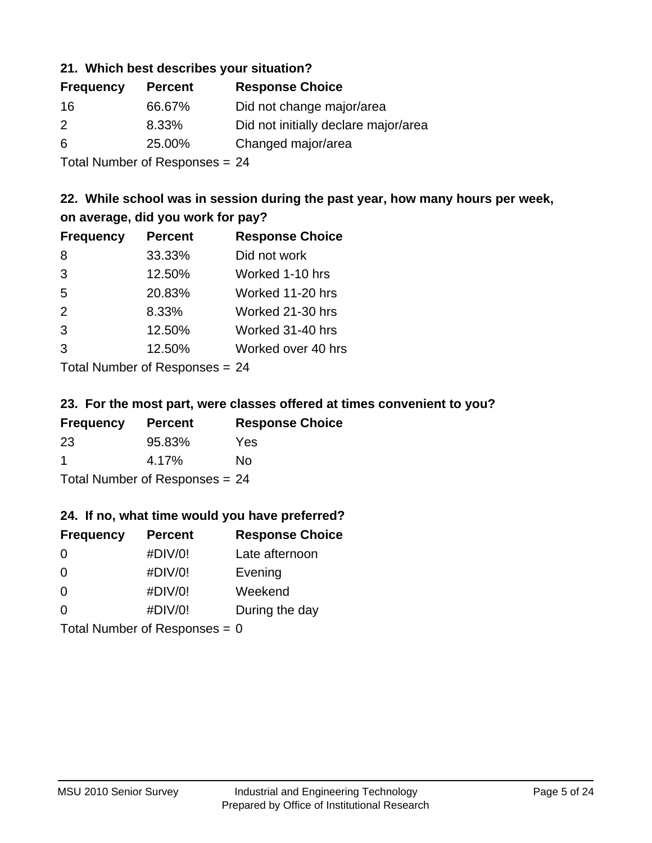### **21. Which best describes your situation?**

| <b>Frequency</b> | <b>Percent</b> | <b>Response Choice</b>               |
|------------------|----------------|--------------------------------------|
| 16               | 66.67%         | Did not change major/area            |
| $\mathcal{P}$    | 8.33%          | Did not initially declare major/area |
| 6                | 25.00%         | Changed major/area                   |
|                  |                |                                      |

Total Number of Responses = 24

# **22. While school was in session during the past year, how many hours per week, on average, did you work for pay?**

| <b>Frequency</b> | <b>Percent</b> | <b>Response Choice</b> |
|------------------|----------------|------------------------|
| 8                | 33.33%         | Did not work           |
| 3                | 12.50%         | Worked 1-10 hrs        |
| 5                | 20.83%         | Worked 11-20 hrs       |
| 2                | 8.33%          | Worked 21-30 hrs       |
| 3                | 12.50%         | Worked 31-40 hrs       |
| 3                | 12.50%         | Worked over 40 hrs     |
|                  |                |                        |

Total Number of Responses = 24

#### **23. For the most part, were classes offered at times convenient to you?**

| <b>Frequency</b>               | <b>Percent</b> | <b>Response Choice</b> |
|--------------------------------|----------------|------------------------|
| 23                             | 95.83%         | Yes                    |
| -1                             | 4.17%          | No.                    |
| Total Number of Responses = 24 |                |                        |

#### **24. If no, what time would you have preferred?**

| <b>Frequency</b>                | <b>Percent</b> | <b>Response Choice</b> |
|---------------------------------|----------------|------------------------|
| $\Omega$                        | #DIV/0!        | Late afternoon         |
| 0                               | #DIV/0!        | Evening                |
| 0                               | #DIV/0!        | Weekend                |
| $\Omega$                        | #DIV/0!        | During the day         |
| Total Number of Responses = $0$ |                |                        |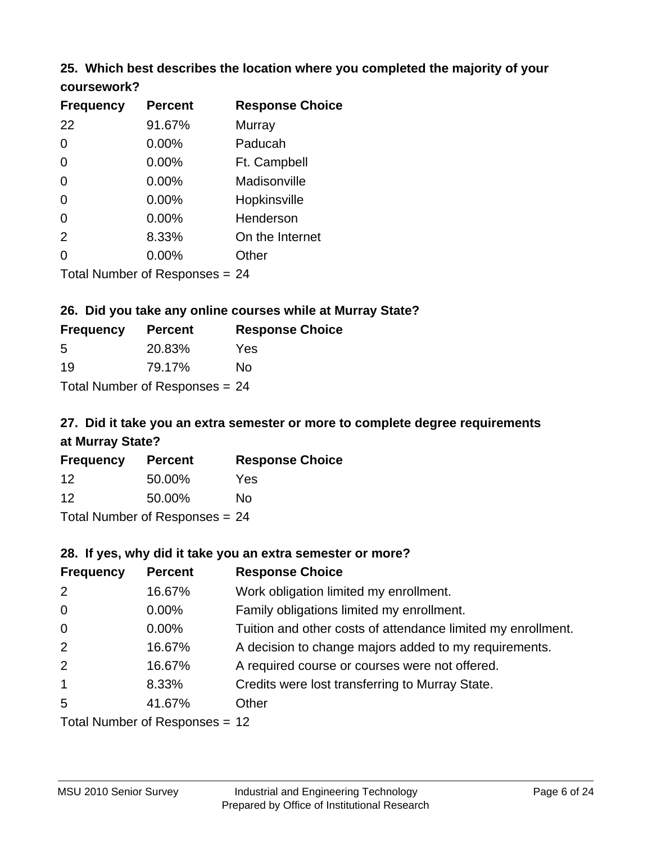# **25. Which best describes the location where you completed the majority of your**

| coursework? |  |
|-------------|--|
|-------------|--|

| <b>Frequency</b> | <b>Percent</b>                   | <b>Response Choice</b> |
|------------------|----------------------------------|------------------------|
| 22               | 91.67%                           | Murray                 |
| 0                | 0.00%                            | Paducah                |
| 0                | 0.00%                            | Ft. Campbell           |
| $\overline{0}$   | 0.00%                            | Madisonville           |
| 0                | 0.00%                            | Hopkinsville           |
| 0                | $0.00\%$                         | Henderson              |
| 2                | 8.33%                            | On the Internet        |
| 0                | 0.00%                            | Other                  |
|                  | Total Number of Responses $= 24$ |                        |

# **26. Did you take any online courses while at Murray State?**

| <b>Frequency</b> | <b>Percent</b>                   | <b>Response Choice</b> |
|------------------|----------------------------------|------------------------|
| -5               | 20.83%                           | Yes                    |
| 19               | 79.17%                           | Nο                     |
|                  | Total Number of Responses = $24$ |                        |

# **27. Did it take you an extra semester or more to complete degree requirements at Murray State?**

| <b>Frequency</b> | <b>Percent</b>                   | <b>Response Choice</b> |
|------------------|----------------------------------|------------------------|
| $12 \,$          | 50.00%                           | Yes                    |
| 12               | 50.00%                           | No                     |
|                  | Total Number of Responses = $24$ |                        |

#### **28. If yes, why did it take you an extra semester or more?**

| <b>Frequency</b>               | <b>Percent</b> | <b>Response Choice</b>                                       |
|--------------------------------|----------------|--------------------------------------------------------------|
| 2                              | 16.67%         | Work obligation limited my enrollment.                       |
| $\overline{0}$                 | $0.00\%$       | Family obligations limited my enrollment.                    |
| $\mathbf 0$                    | $0.00\%$       | Tuition and other costs of attendance limited my enrollment. |
| 2                              | 16.67%         | A decision to change majors added to my requirements.        |
| 2                              | 16.67%         | A required course or courses were not offered.               |
| $\mathbf{1}$                   | 8.33%          | Credits were lost transferring to Murray State.              |
| 5                              | 41.67%         | Other                                                        |
| Total Number of Responses = 12 |                |                                                              |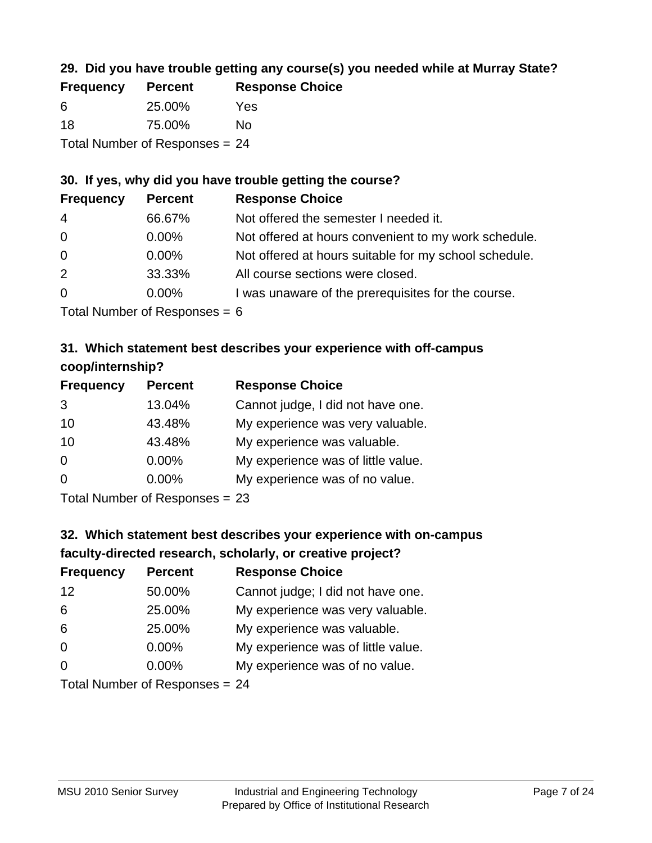# **29. Did you have trouble getting any course(s) you needed while at Murray State?**

| <b>Frequency</b>               | <b>Percent</b> | <b>Response Choice</b> |  |
|--------------------------------|----------------|------------------------|--|
| -6                             | 25.00%         | Yes                    |  |
| 18                             | 75.00%         | N٥                     |  |
| Total Number of Responses = 24 |                |                        |  |

# **30. If yes, why did you have trouble getting the course?**

| <b>Frequency</b> | <b>Percent</b> | <b>Response Choice</b>                                |
|------------------|----------------|-------------------------------------------------------|
| $\overline{4}$   | 66.67%         | Not offered the semester I needed it.                 |
| $\overline{0}$   | $0.00\%$       | Not offered at hours convenient to my work schedule.  |
| $\overline{0}$   | $0.00\%$       | Not offered at hours suitable for my school schedule. |
| 2                | 33.33%         | All course sections were closed.                      |
| $\overline{0}$   | $0.00\%$       | I was unaware of the prerequisites for the course.    |
|                  |                |                                                       |

Total Number of Responses = 6

### **31. Which statement best describes your experience with off-campus coop/internship?**

| <b>Frequency</b> | <b>Percent</b> | <b>Response Choice</b>             |
|------------------|----------------|------------------------------------|
| 3                | 13.04%         | Cannot judge, I did not have one.  |
| 10               | 43.48%         | My experience was very valuable.   |
| 10               | 43.48%         | My experience was valuable.        |
| $\Omega$         | 0.00%          | My experience was of little value. |
| $\Omega$         | 0.00%          | My experience was of no value.     |
|                  |                |                                    |

Total Number of Responses = 23

# **32. Which statement best describes your experience with on-campus faculty-directed research, scholarly, or creative project?**

| <b>Frequency</b> | <b>Percent</b>                  | <b>Response Choice</b>             |
|------------------|---------------------------------|------------------------------------|
| 12               | 50.00%                          | Cannot judge; I did not have one.  |
| 6                | 25.00%                          | My experience was very valuable.   |
| 6                | 25.00%                          | My experience was valuable.        |
| $\Omega$         | $0.00\%$                        | My experience was of little value. |
| $\Omega$         | 0.00%                           | My experience was of no value.     |
|                  | Total Number of Deconoces $-24$ |                                    |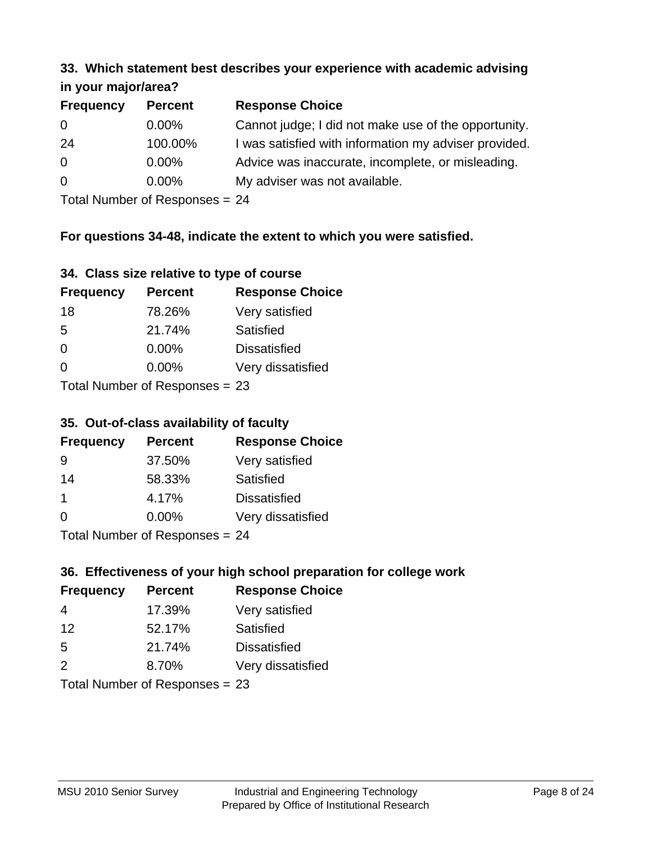#### **33. Which statement best describes your experience with academic advising in your major/area?**

| 11.70011110001701001 |                |                                                       |
|----------------------|----------------|-------------------------------------------------------|
| <b>Frequency</b>     | <b>Percent</b> | <b>Response Choice</b>                                |
| 0                    | $0.00\%$       | Cannot judge; I did not make use of the opportunity.  |
| 24                   | 100.00%        | I was satisfied with information my adviser provided. |
| $\overline{0}$       | $0.00\%$       | Advice was inaccurate, incomplete, or misleading.     |
| $\Omega$             | $0.00\%$       | My adviser was not available.                         |
|                      |                |                                                       |

Total Number of Responses = 24

# **For questions 34-48, indicate the extent to which you were satisfied.**

| 34. Class size relative to type of course |  |  |  |  |  |  |  |  |
|-------------------------------------------|--|--|--|--|--|--|--|--|
|-------------------------------------------|--|--|--|--|--|--|--|--|

| <b>Frequency</b> | <b>Percent</b>                   | <b>Response Choice</b> |
|------------------|----------------------------------|------------------------|
| 18               | 78.26%                           | Very satisfied         |
| 5                | 21.74%                           | Satisfied              |
| $\Omega$         | $0.00\%$                         | <b>Dissatisfied</b>    |
| $\Omega$         | 0.00%                            | Very dissatisfied      |
|                  | Total Number of Responses $= 23$ |                        |

Total Number of Responses  $= 23$ 

### **35. Out-of-class availability of faculty**

| <b>Frequency</b> | <b>Percent</b>            | <b>Response Choice</b> |
|------------------|---------------------------|------------------------|
| 9                | 37.50%                    | Very satisfied         |
| 14               | 58.33%                    | Satisfied              |
| $\mathbf 1$      | 4.17%                     | <b>Dissatisfied</b>    |
| $\Omega$         | $0.00\%$                  | Very dissatisfied      |
|                  | Total Number of Deepensee |                        |

Total Number of Responses = 24

# **36. Effectiveness of your high school preparation for college work**

| <b>Frequency</b> | <b>Percent</b>                  | <b>Response Choice</b> |
|------------------|---------------------------------|------------------------|
| 4                | 17.39%                          | Very satisfied         |
| 12               | 52.17%                          | Satisfied              |
| .5               | 21.74%                          | <b>Dissatisfied</b>    |
| $\mathcal{P}$    | 8.70%                           | Very dissatisfied      |
|                  | Total Number of Decononces - 22 |                        |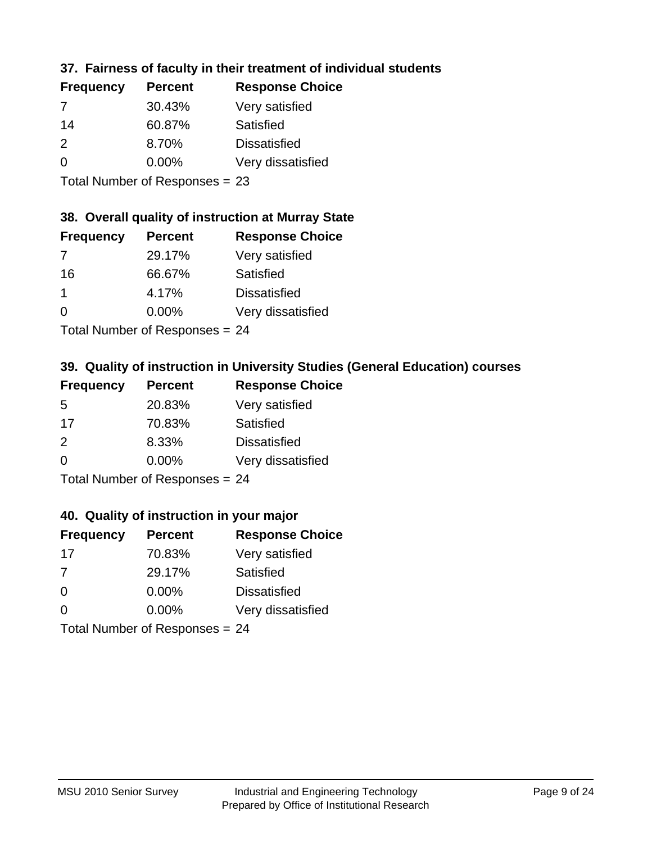# **37. Fairness of faculty in their treatment of individual students**

| <b>Frequency</b> | <b>Percent</b> | <b>Response Choice</b> |
|------------------|----------------|------------------------|
| 7                | 30.43%         | Very satisfied         |
| 14               | 60.87%         | Satisfied              |
| $\mathcal{P}$    | 8.70%          | <b>Dissatisfied</b>    |
| $\Omega$         | 0.00%          | Very dissatisfied      |
|                  |                |                        |

Total Number of Responses = 23

# **38. Overall quality of instruction at Murray State**

| <b>Frequency</b> | <b>Percent</b> | <b>Response Choice</b> |
|------------------|----------------|------------------------|
| 7                | 29.17%         | Very satisfied         |
| 16               | 66.67%         | Satisfied              |
| 1                | 4.17%          | <b>Dissatisfied</b>    |
| $\Omega$         | 0.00%          | Very dissatisfied      |
|                  |                |                        |

Total Number of Responses = 24

# **39. Quality of instruction in University Studies (General Education) courses**

| <b>Frequency</b> | <b>Percent</b>            | <b>Response Choice</b> |
|------------------|---------------------------|------------------------|
| .5               | 20.83%                    | Very satisfied         |
| 17               | 70.83%                    | Satisfied              |
| $\mathcal{P}$    | 8.33%                     | <b>Dissatisfied</b>    |
| $\Omega$         | 0.00%                     | Very dissatisfied      |
|                  | Total Number of Deepersee |                        |

Total Number of Responses = 24

#### **40. Quality of instruction in your major**

| <b>Frequency</b> | <b>Percent</b>            | <b>Response Choice</b> |
|------------------|---------------------------|------------------------|
| 17               | 70.83%                    | Very satisfied         |
| 7                | 29.17%                    | Satisfied              |
| $\Omega$         | $0.00\%$                  | <b>Dissatisfied</b>    |
| $\Omega$         | 0.00%                     | Very dissatisfied      |
|                  | Total Number of Deepersee |                        |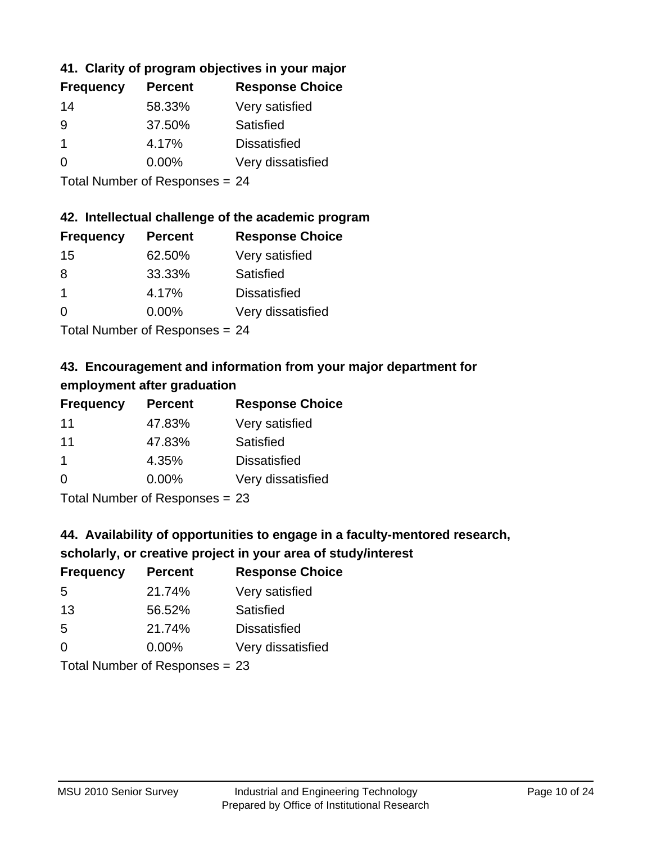# **41. Clarity of program objectives in your major**

| <b>Frequency</b> | <b>Percent</b> | <b>Response Choice</b> |
|------------------|----------------|------------------------|
| 14               | 58.33%         | Very satisfied         |
| 9                | 37.50%         | Satisfied              |
|                  | 4.17%          | <b>Dissatisfied</b>    |
| $\Omega$         | $0.00\%$       | Very dissatisfied      |
|                  |                |                        |

Total Number of Responses = 24

#### **42. Intellectual challenge of the academic program**

| <b>Frequency</b> | <b>Percent</b> | <b>Response Choice</b> |
|------------------|----------------|------------------------|
| 15               | 62.50%         | Very satisfied         |
| 8                | 33.33%         | Satisfied              |
| -1               | 4.17%          | <b>Dissatisfied</b>    |
| $\Omega$         | 0.00%          | Very dissatisfied      |
|                  |                |                        |

Total Number of Responses = 24

# **43. Encouragement and information from your major department for employment after graduation**

| <b>Frequency</b> | <b>Percent</b>                                                                   | <b>Response Choice</b> |
|------------------|----------------------------------------------------------------------------------|------------------------|
| 11               | 47.83%                                                                           | Very satisfied         |
| 11               | 47.83%                                                                           | Satisfied              |
| 1                | 4.35%                                                                            | <b>Dissatisfied</b>    |
| $\Omega$         | 0.00%                                                                            | Very dissatisfied      |
|                  | $\mathbf{T}$ and $\mathbf{M}$ and $\mathbf{M}$ and $\mathbf{M}$ and $\mathbf{M}$ |                        |

Total Number of Responses = 23

# **44. Availability of opportunities to engage in a faculty-mentored research,**

#### **scholarly, or creative project in your area of study/interest**

| <b>Frequency</b> | <b>Percent</b> | <b>Response Choice</b> |
|------------------|----------------|------------------------|
| .5               | 21.74%         | Very satisfied         |
| 13               | 56.52%         | Satisfied              |
| .5               | 21.74%         | <b>Dissatisfied</b>    |
| $\Omega$         | 0.00%          | Very dissatisfied      |
|                  |                |                        |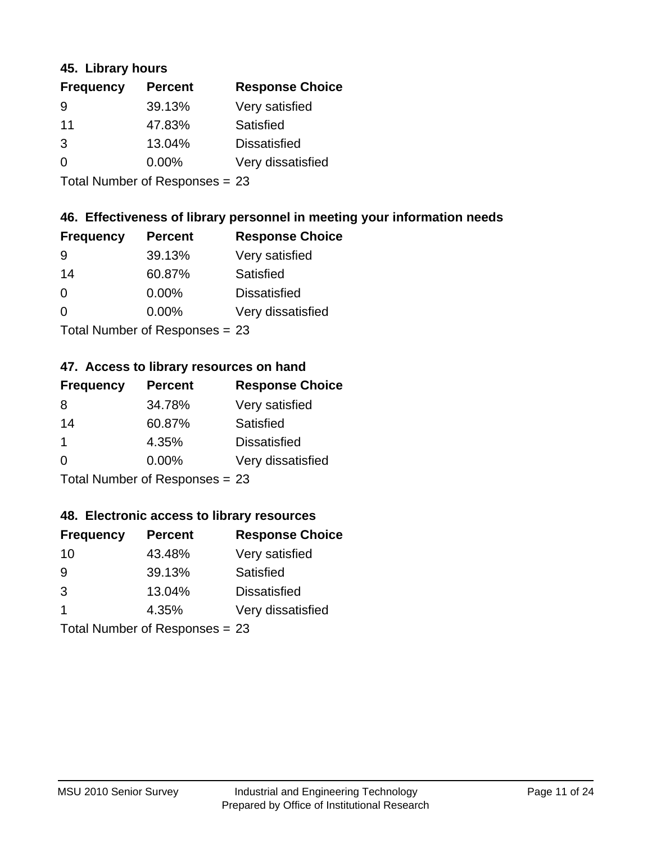#### **45. Library hours**

| <b>Frequency</b> | <b>Percent</b> | <b>Response Choice</b> |
|------------------|----------------|------------------------|
| 9                | 39.13%         | Very satisfied         |
| 11               | 47.83%         | Satisfied              |
| 3                | 13.04%         | <b>Dissatisfied</b>    |
| $\Omega$         | 0.00%          | Very dissatisfied      |
|                  |                |                        |

Total Number of Responses = 23

# **46. Effectiveness of library personnel in meeting your information needs**

| <b>Frequency</b> | <b>Percent</b> | <b>Response Choice</b> |
|------------------|----------------|------------------------|
| <u>g</u>         | 39.13%         | Very satisfied         |
| 14               | 60.87%         | Satisfied              |
| $\Omega$         | 0.00%          | <b>Dissatisfied</b>    |
| ∩                | 0.00%          | Very dissatisfied      |
|                  |                |                        |

Total Number of Responses = 23

#### **47. Access to library resources on hand**

| <b>Frequency</b>               | <b>Percent</b> | <b>Response Choice</b> |
|--------------------------------|----------------|------------------------|
| 8                              | 34.78%         | Very satisfied         |
| 14                             | 60.87%         | Satisfied              |
| $\mathbf 1$                    | 4.35%          | <b>Dissatisfied</b>    |
| $\Omega$                       | $0.00\%$       | Very dissatisfied      |
| Total Number of Responses = 23 |                |                        |

### **48. Electronic access to library resources**

| <b>Frequency</b>               | <b>Percent</b> | <b>Response Choice</b> |
|--------------------------------|----------------|------------------------|
| 10                             | 43.48%         | Very satisfied         |
| 9                              | 39.13%         | Satisfied              |
| 3                              | 13.04%         | <b>Dissatisfied</b>    |
| $\blacktriangleleft$           | 4.35%          | Very dissatisfied      |
| Total Number of Responses = 23 |                |                        |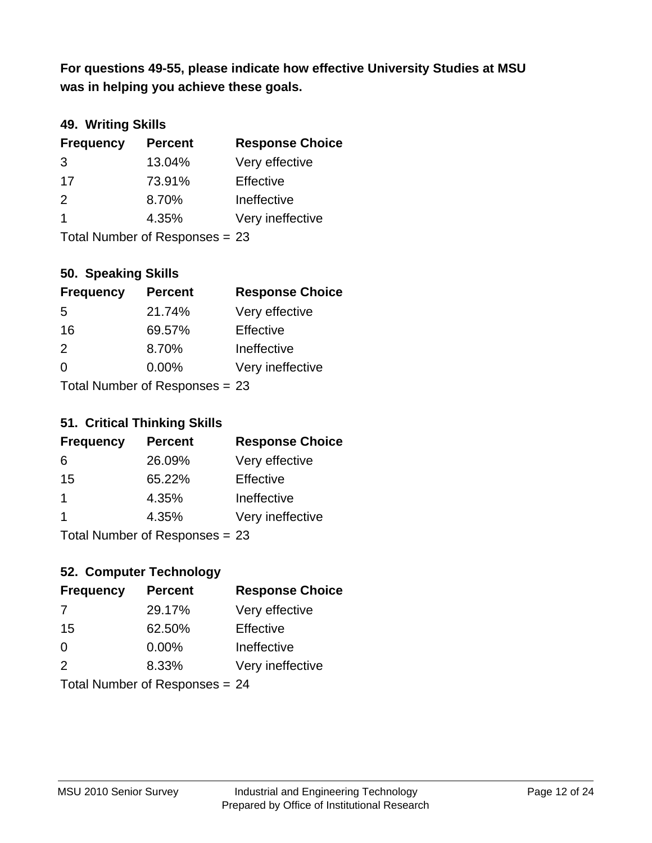**was in helping you achieve these goals. For questions 49-55, please indicate how effective University Studies at MSU** 

# **49. Writing Skills**

| <b>Frequency</b>        | <b>Percent</b>                 | <b>Response Choice</b> |
|-------------------------|--------------------------------|------------------------|
| 3                       | 13.04%                         | Very effective         |
| 17                      | 73.91%                         | Effective              |
| 2                       | 8.70%                          | Ineffective            |
| $\overline{\mathbf{1}}$ | 4.35%                          | Very ineffective       |
|                         | Total Number of Responses = 23 |                        |

**50. Speaking Skills**

| <b>Frequency</b>               | <b>Percent</b> | <b>Response Choice</b> |
|--------------------------------|----------------|------------------------|
| 5                              | 21.74%         | Very effective         |
| 16                             | 69.57%         | Effective              |
| 2                              | 8.70%          | Ineffective            |
| $\Omega$                       | 0.00%          | Very ineffective       |
| Total Number of Responses = 23 |                |                        |

#### **51. Critical Thinking Skills**

| <b>Frequency</b> | <b>Percent</b>            | <b>Response Choice</b> |
|------------------|---------------------------|------------------------|
| 6                | 26.09%                    | Very effective         |
| 15               | 65.22%                    | Effective              |
| 1                | 4.35%                     | Ineffective            |
| 1                | 4.35%                     | Very ineffective       |
|                  | Total Number of Desponses |                        |

Total Number of Responses = 23

# **52. Computer Technology**

| <b>Frequency</b>               | <b>Percent</b> | <b>Response Choice</b> |
|--------------------------------|----------------|------------------------|
| 7                              | 29.17%         | Very effective         |
| 15                             | 62.50%         | Effective              |
| $\Omega$                       | $0.00\%$       | Ineffective            |
| $\mathcal{P}$                  | 8.33%          | Very ineffective       |
| Total Number of Responses = 24 |                |                        |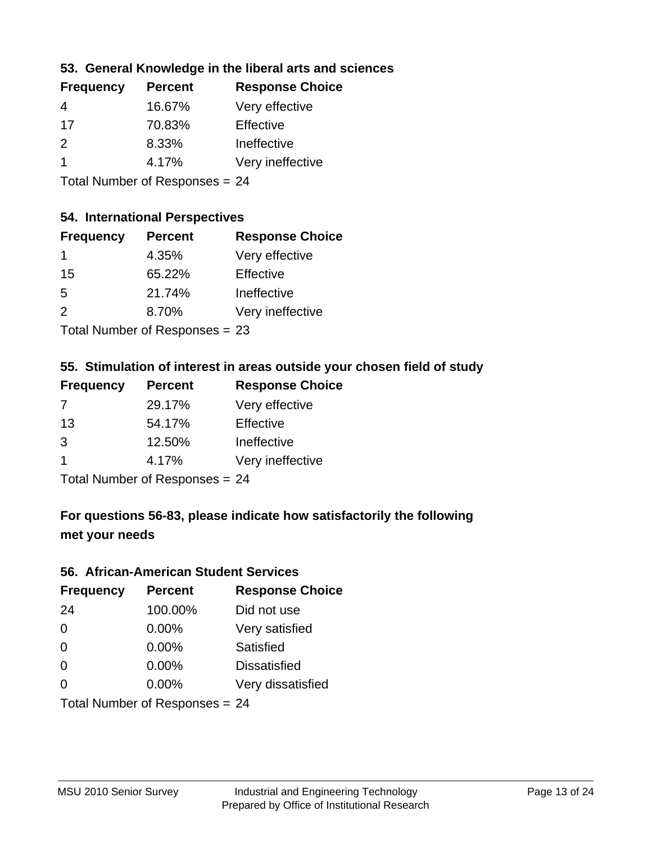# **53. General Knowledge in the liberal arts and sciences**

| <b>Frequency</b> | <b>Percent</b> | <b>Response Choice</b> |
|------------------|----------------|------------------------|
| 4                | 16.67%         | Very effective         |
| 17               | 70.83%         | Effective              |
| $\mathcal{P}$    | 8.33%          | Ineffective            |
|                  | 4.17%          | Very ineffective       |
|                  |                |                        |

Total Number of Responses = 24

#### **54. International Perspectives**

| <b>Frequency</b>                        | <b>Percent</b> | <b>Response Choice</b> |
|-----------------------------------------|----------------|------------------------|
| 1                                       | 4.35%          | Very effective         |
| 15                                      | 65.22%         | Effective              |
| -5                                      | 21.74%         | Ineffective            |
| $\mathcal{P}$                           | 8.70%          | Very ineffective       |
| $T$ at all Message and $D$ are a second |                |                        |

Total Number of Responses = 23

### **55. Stimulation of interest in areas outside your chosen field of study**

| <b>Frequency</b> | <b>Percent</b>              | <b>Response Choice</b> |
|------------------|-----------------------------|------------------------|
| 7                | 29.17%                      | Very effective         |
| 13               | 54.17%                      | Effective              |
| 3                | 12.50%                      | Ineffective            |
| -1               | 4.17%                       | Very ineffective       |
|                  | Total Number of Doepo<br>24 |                        |

Total Number of Responses = 24

# **For questions 56-83, please indicate how satisfactorily the following met your needs**

#### **56. African-American Student Services**

| <b>Frequency</b> | <b>Percent</b>                 | <b>Response Choice</b> |
|------------------|--------------------------------|------------------------|
| 24               | 100.00%                        | Did not use            |
| $\Omega$         | 0.00%                          | Very satisfied         |
| $\Omega$         | 0.00%                          | Satisfied              |
| $\Omega$         | $0.00\%$                       | <b>Dissatisfied</b>    |
| $\Omega$         | 0.00%                          | Very dissatisfied      |
|                  | Total Number of Responses = 24 |                        |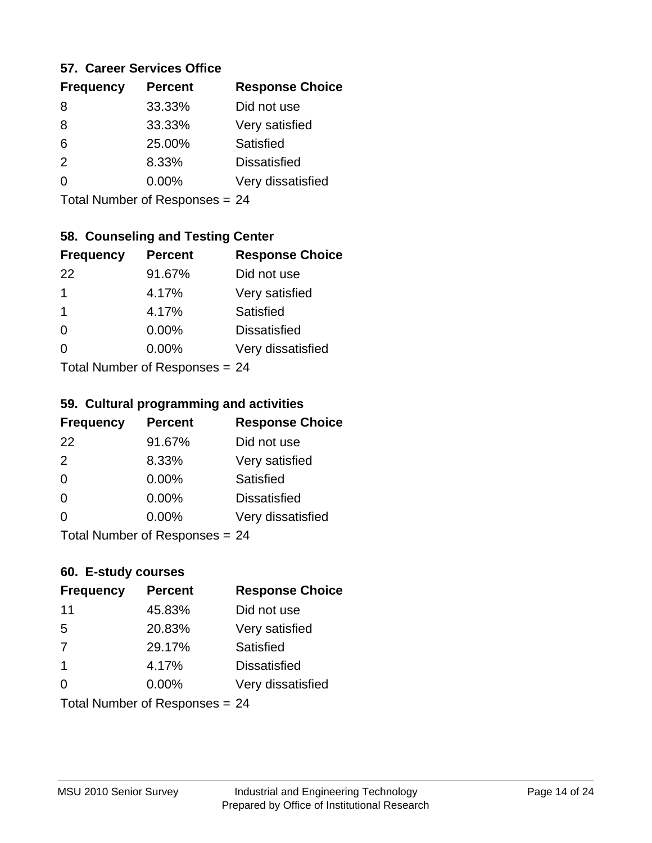#### **57. Career Services Office**

| <b>Frequency</b> | <b>Percent</b> | <b>Response Choice</b> |
|------------------|----------------|------------------------|
| 8                | 33.33%         | Did not use            |
| 8                | 33.33%         | Very satisfied         |
| 6                | 25.00%         | Satisfied              |
| $\mathcal{P}$    | 8.33%          | <b>Dissatisfied</b>    |
| ∩                | $0.00\%$       | Very dissatisfied      |
|                  |                |                        |

Total Number of Responses = 24

# **58. Counseling and Testing Center**

| <b>Frequency</b> | <b>Percent</b>             | <b>Response Choice</b> |
|------------------|----------------------------|------------------------|
| 22               | 91.67%                     | Did not use            |
| 1                | 4.17%                      | Very satisfied         |
| 1                | 4.17%                      | <b>Satisfied</b>       |
| $\Omega$         | 0.00%                      | <b>Dissatisfied</b>    |
| 0                | 0.00%                      | Very dissatisfied      |
|                  | Total Number of Deepersoon |                        |

Total Number of Responses = 24

#### **59. Cultural programming and activities**

| <b>Frequency</b> | <b>Percent</b>                 | <b>Response Choice</b> |
|------------------|--------------------------------|------------------------|
| 22               | 91.67%                         | Did not use            |
| 2                | 8.33%                          | Very satisfied         |
| $\Omega$         | 0.00%                          | Satisfied              |
| $\Omega$         | $0.00\%$                       | <b>Dissatisfied</b>    |
| $\Omega$         | $0.00\%$                       | Very dissatisfied      |
|                  | Total Number of Responses = 24 |                        |

# **60. E-study courses**

| <b>Frequency</b> | <b>Percent</b>                 | <b>Response Choice</b> |
|------------------|--------------------------------|------------------------|
| 11               | 45.83%                         | Did not use            |
| 5                | 20.83%                         | Very satisfied         |
| 7                | 29.17%                         | Satisfied              |
| -1               | 4.17%                          | <b>Dissatisfied</b>    |
| $\Omega$         | 0.00%                          | Very dissatisfied      |
|                  | Total Number of Responses = 24 |                        |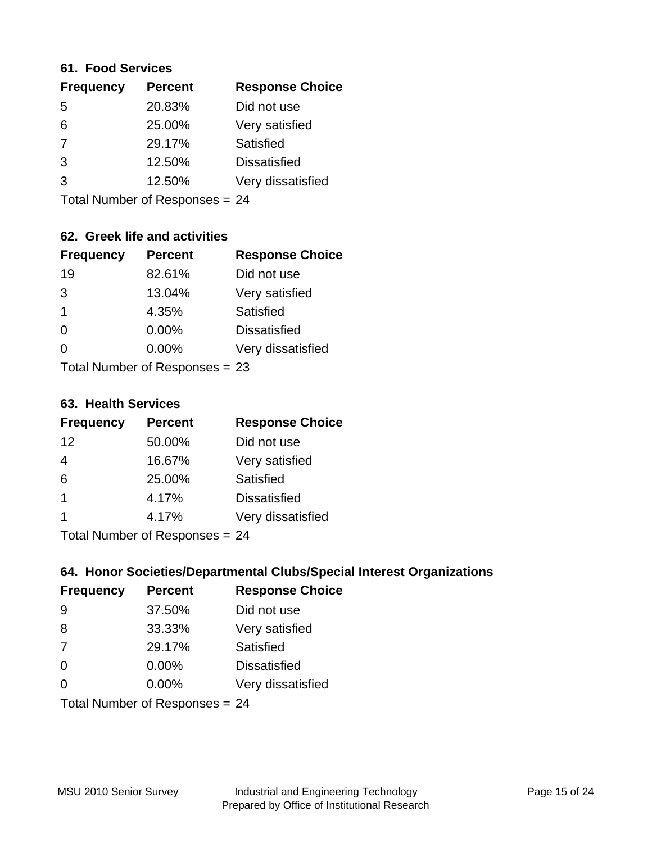#### **61. Food Services**

| <b>Frequency</b> | <b>Percent</b> | <b>Response Choice</b> |
|------------------|----------------|------------------------|
| 5                | 20.83%         | Did not use            |
| 6                | 25.00%         | Very satisfied         |
| 7                | 29.17%         | Satisfied              |
| 3                | 12.50%         | <b>Dissatisfied</b>    |
| 3                | 12.50%         | Very dissatisfied      |
|                  |                |                        |

Total Number of Responses = 24

# **62. Greek life and activities**

| <b>Frequency</b>               | <b>Percent</b> | <b>Response Choice</b> |
|--------------------------------|----------------|------------------------|
| 19                             | 82.61%         | Did not use            |
| 3                              | 13.04%         | Very satisfied         |
| $\mathbf 1$                    | 4.35%          | Satisfied              |
| $\Omega$                       | 0.00%          | <b>Dissatisfied</b>    |
| 0                              | $0.00\%$       | Very dissatisfied      |
| Total Number of Responses = 23 |                |                        |

#### **63. Health Services**

| <b>Frequency</b> | <b>Percent</b> | <b>Response Choice</b> |
|------------------|----------------|------------------------|
| 12               | 50.00%         | Did not use            |
| $\overline{4}$   | 16.67%         | Very satisfied         |
| 6                | 25.00%         | <b>Satisfied</b>       |
| $\mathbf{1}$     | 4.17%          | <b>Dissatisfied</b>    |
|                  | 4.17%          | Very dissatisfied      |
|                  |                |                        |

Total Number of Responses = 24

### **64. Honor Societies/Departmental Clubs/Special Interest Organizations**

| <b>Frequency</b>               | <b>Percent</b> | <b>Response Choice</b> |
|--------------------------------|----------------|------------------------|
| 9                              | 37.50%         | Did not use            |
| 8                              | 33.33%         | Very satisfied         |
| 7                              | 29.17%         | Satisfied              |
| $\Omega$                       | 0.00%          | <b>Dissatisfied</b>    |
| $\Omega$                       | 0.00%          | Very dissatisfied      |
| Total Number of Responses = 24 |                |                        |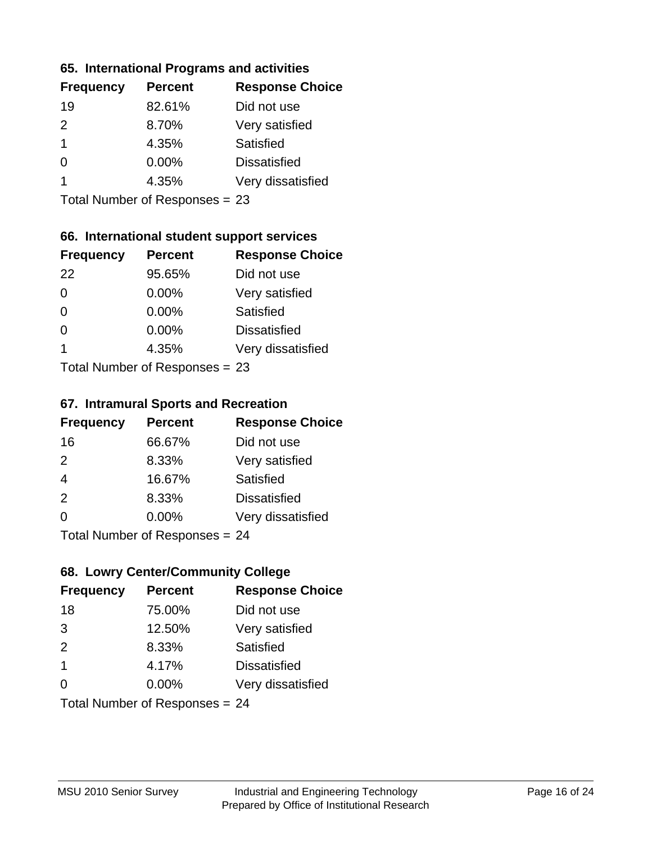#### **65. International Programs and activities**

| <b>Percent</b> | <b>Response Choice</b> |
|----------------|------------------------|
| 82.61%         | Did not use            |
| 8.70%          | Very satisfied         |
| 4.35%          | Satisfied              |
| 0.00%          | <b>Dissatisfied</b>    |
| 4.35%          | Very dissatisfied      |
|                |                        |

Total Number of Responses = 23

# **66. International student support services**

| <b>Frequency</b>          | <b>Percent</b> | <b>Response Choice</b> |
|---------------------------|----------------|------------------------|
| 22                        | 95.65%         | Did not use            |
| $\Omega$                  | 0.00%          | Very satisfied         |
| $\Omega$                  | $0.00\%$       | <b>Satisfied</b>       |
| $\Omega$                  | 0.00%          | <b>Dissatisfied</b>    |
| 1                         | 4.35%          | Very dissatisfied      |
| Total Number of Desponses |                |                        |

Total Number of Responses = 23

#### **67. Intramural Sports and Recreation**

| <b>Frequency</b> | <b>Percent</b>                  | <b>Response Choice</b> |
|------------------|---------------------------------|------------------------|
| 16               | 66.67%                          | Did not use            |
| 2                | 8.33%                           | Very satisfied         |
| $\overline{4}$   | 16.67%                          | Satisfied              |
| 2                | 8.33%                           | <b>Dissatisfied</b>    |
| $\Omega$         | 0.00%                           | Very dissatisfied      |
|                  | $Total$ Number of Despasses $-$ |                        |

I otal Number of Responses = 24

# **68. Lowry Center/Community College**

| <b>Frequency</b> | <b>Percent</b>                 | <b>Response Choice</b> |
|------------------|--------------------------------|------------------------|
| 18               | 75.00%                         | Did not use            |
| 3                | 12.50%                         | Very satisfied         |
| 2                | 8.33%                          | Satisfied              |
| $\mathbf 1$      | 4.17%                          | <b>Dissatisfied</b>    |
| $\Omega$         | 0.00%                          | Very dissatisfied      |
|                  | Total Number of Responses = 24 |                        |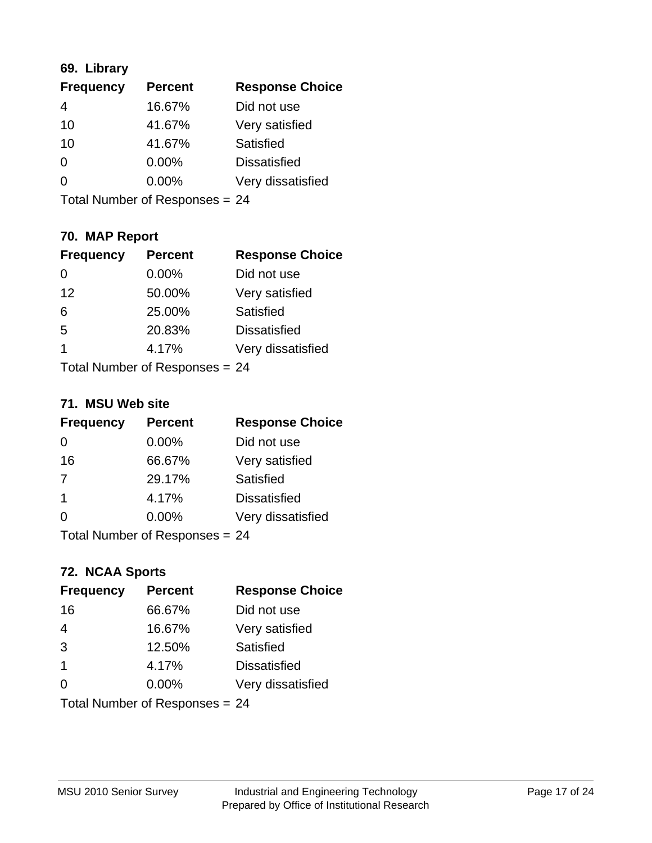# **69. Library**

| <b>Frequency</b> | <b>Percent</b> | <b>Response Choice</b> |
|------------------|----------------|------------------------|
| 4                | 16.67%         | Did not use            |
| 10               | 41.67%         | Very satisfied         |
| 10               | 41.67%         | Satisfied              |
| 0                | 0.00%          | <b>Dissatisfied</b>    |
| 0                | 0.00%          | Very dissatisfied      |
|                  |                |                        |

Total Number of Responses = 24

# **70. MAP Report**

| <b>Frequency</b>               | <b>Percent</b> | <b>Response Choice</b> |
|--------------------------------|----------------|------------------------|
| 0                              | 0.00%          | Did not use            |
| 12                             | 50.00%         | Very satisfied         |
| 6                              | 25.00%         | Satisfied              |
| 5                              | 20.83%         | <b>Dissatisfied</b>    |
| 1                              | 4.17%          | Very dissatisfied      |
| Total Number of Responses = 24 |                |                        |

#### **71. MSU Web site**

| <b>Frequency</b>               | <b>Percent</b> | <b>Response Choice</b> |
|--------------------------------|----------------|------------------------|
| 0                              | 0.00%          | Did not use            |
| 16                             | 66.67%         | Very satisfied         |
| 7                              | 29.17%         | Satisfied              |
| -1                             | 4.17%          | <b>Dissatisfied</b>    |
| ∩                              | 0.00%          | Very dissatisfied      |
| Total Number of Responses = 24 |                |                        |

# **72. NCAA Sports**

| <b>Frequency</b>               | <b>Percent</b> | <b>Response Choice</b> |
|--------------------------------|----------------|------------------------|
| 16                             | 66.67%         | Did not use            |
| $\overline{4}$                 | 16.67%         | Very satisfied         |
| 3                              | 12.50%         | Satisfied              |
| $\mathbf 1$                    | 4.17%          | <b>Dissatisfied</b>    |
| $\Omega$                       | $0.00\%$       | Very dissatisfied      |
| Total Number of Responses = 24 |                |                        |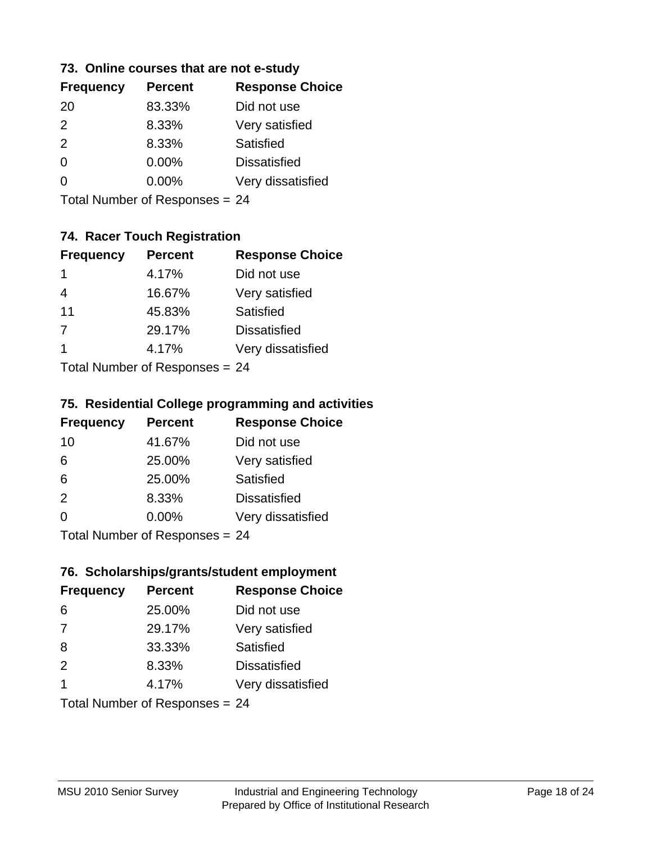### **73. Online courses that are not e-study**

| <b>Frequency</b> | <b>Percent</b> | <b>Response Choice</b> |
|------------------|----------------|------------------------|
| 20               | 83.33%         | Did not use            |
| $\mathcal{P}$    | 8.33%          | Very satisfied         |
| 2                | 8.33%          | Satisfied              |
| 0                | $0.00\%$       | <b>Dissatisfied</b>    |
|                  | $0.00\%$       | Very dissatisfied      |
|                  |                |                        |

Total Number of Responses = 24

# **74. Racer Touch Registration**

| <b>Frequency</b> | <b>Percent</b>            | <b>Response Choice</b> |
|------------------|---------------------------|------------------------|
| 1                | 4.17%                     | Did not use            |
| 4                | 16.67%                    | Very satisfied         |
| 11               | 45.83%                    | <b>Satisfied</b>       |
| $\overline{7}$   | 29.17%                    | <b>Dissatisfied</b>    |
| 1                | 4.17%                     | Very dissatisfied      |
|                  | Total Number of Deepersee |                        |

Total Number of Responses = 24

# **75. Residential College programming and activities**

| <b>Frequency</b>                 | <b>Percent</b> | <b>Response Choice</b> |
|----------------------------------|----------------|------------------------|
| 10                               | 41.67%         | Did not use            |
| 6                                | 25.00%         | Very satisfied         |
| 6                                | 25.00%         | <b>Satisfied</b>       |
| 2                                | 8.33%          | <b>Dissatisfied</b>    |
| $\Omega$                         | 0.00%          | Very dissatisfied      |
| $Total Number of Doepopoog - 24$ |                |                        |

Total Number of Responses = 24

#### **76. Scholarships/grants/student employment**

| <b>Frequency</b> | <b>Percent</b>                 | <b>Response Choice</b> |
|------------------|--------------------------------|------------------------|
| 6                | 25.00%                         | Did not use            |
| 7                | 29.17%                         | Very satisfied         |
| 8                | 33.33%                         | Satisfied              |
| 2                | 8.33%                          | <b>Dissatisfied</b>    |
| 1                | 4.17%                          | Very dissatisfied      |
|                  | Total Number of Responses = 24 |                        |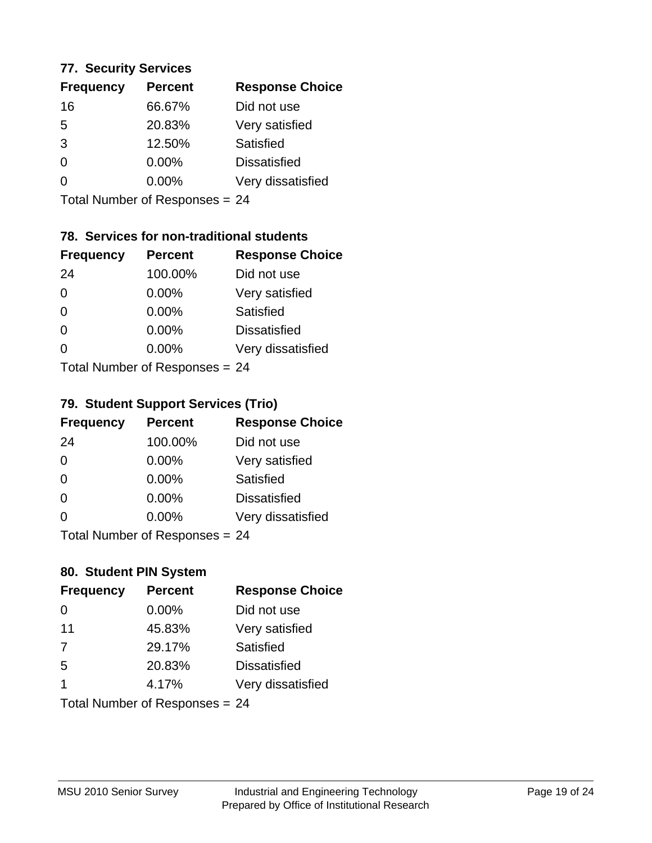#### **77. Security Services**

| <b>Frequency</b> | <b>Percent</b> | <b>Response Choice</b> |
|------------------|----------------|------------------------|
| 16               | 66.67%         | Did not use            |
| 5                | 20.83%         | Very satisfied         |
| 3                | 12.50%         | Satisfied              |
| 0                | $0.00\%$       | <b>Dissatisfied</b>    |
| O                | $0.00\%$       | Very dissatisfied      |
|                  |                |                        |

Total Number of Responses = 24

# **78. Services for non-traditional students**

| <b>Frequency</b>          | <b>Percent</b> | <b>Response Choice</b> |
|---------------------------|----------------|------------------------|
| 24                        | 100.00%        | Did not use            |
| 0                         | $0.00\%$       | Very satisfied         |
| $\Omega$                  | $0.00\%$       | Satisfied              |
| $\Omega$                  | $0.00\%$       | <b>Dissatisfied</b>    |
| 0                         | 0.00%          | Very dissatisfied      |
| Total Number of Desponses |                |                        |

Total Number of Responses = 24

# **79. Student Support Services (Trio)**

| <b>Frequency</b> | <b>Percent</b>                  | <b>Response Choice</b> |
|------------------|---------------------------------|------------------------|
| 24               | 100.00%                         | Did not use            |
| $\Omega$         | $0.00\%$                        | Very satisfied         |
| $\Omega$         | 0.00%                           | Satisfied              |
| $\Omega$         | 0.00%                           | <b>Dissatisfied</b>    |
| $\Omega$         | 0.00%                           | Very dissatisfied      |
|                  | $Total Number of Doepopce = 24$ |                        |

I otal Number of Responses = 24

# **80. Student PIN System**

| <b>Frequency</b> | <b>Percent</b>                 | <b>Response Choice</b> |
|------------------|--------------------------------|------------------------|
| 0                | 0.00%                          | Did not use            |
| 11               | 45.83%                         | Very satisfied         |
| 7                | 29.17%                         | Satisfied              |
| 5                | 20.83%                         | <b>Dissatisfied</b>    |
| 1                | 4.17%                          | Very dissatisfied      |
|                  | Total Number of Responses = 24 |                        |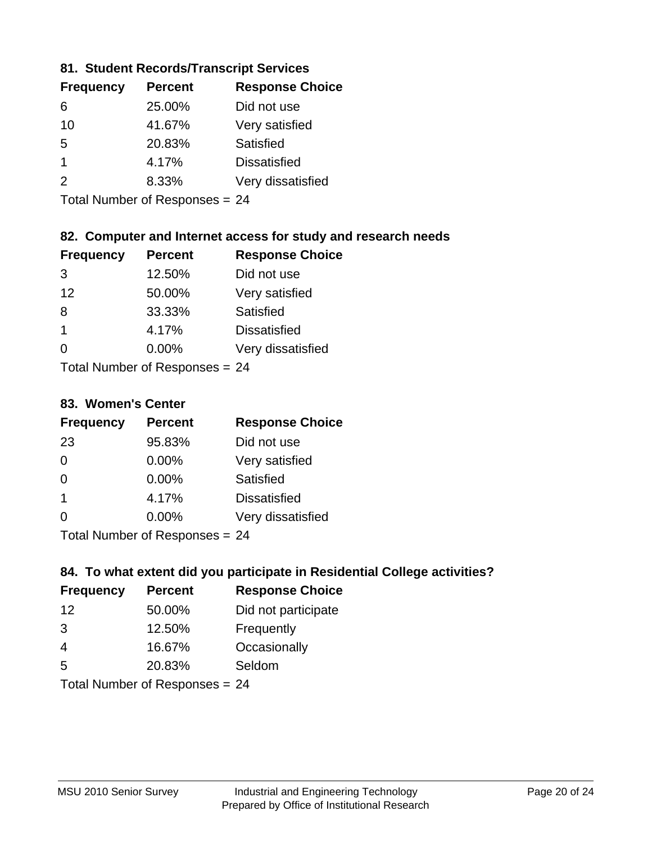# **81. Student Records/Transcript Services**

| <b>Frequency</b> | <b>Percent</b> | <b>Response Choice</b> |
|------------------|----------------|------------------------|
| 6                | 25.00%         | Did not use            |
| 10               | 41.67%         | Very satisfied         |
| .5               | 20.83%         | Satisfied              |
|                  | 4.17%          | <b>Dissatisfied</b>    |
| $\mathcal{P}$    | 8.33%          | Very dissatisfied      |

Total Number of Responses = 24

# **82. Computer and Internet access for study and research needs**

| <b>Frequency</b>     | <b>Percent</b>             | <b>Response Choice</b> |
|----------------------|----------------------------|------------------------|
| 3                    | 12.50%                     | Did not use            |
| 12                   | 50.00%                     | Very satisfied         |
| 8                    | 33.33%                     | Satisfied              |
| $\blacktriangleleft$ | 4.17%                      | <b>Dissatisfied</b>    |
| ∩                    | 0.00%                      | Very dissatisfied      |
|                      | Tatal Number of Desperance |                        |

Total Number of Responses = 24

#### **83. Women's Center**

| <b>Frequency</b> | <b>Percent</b>                                                                                                                   | <b>Response Choice</b> |
|------------------|----------------------------------------------------------------------------------------------------------------------------------|------------------------|
| 23               | 95.83%                                                                                                                           | Did not use            |
| $\Omega$         | 0.00%                                                                                                                            | Very satisfied         |
| $\Omega$         | $0.00\%$                                                                                                                         | <b>Satisfied</b>       |
| -1               | 4.17%                                                                                                                            | <b>Dissatisfied</b>    |
| $\Omega$         | 0.00%                                                                                                                            | Very dissatisfied      |
|                  | $\tau$ . $\tau$ . In the set of $\tau$ , $\tau$ , $\tau$ , $\tau$ , $\tau$ , $\tau$ , $\tau$ , $\tau$ , $\tau$ , $\tau$ , $\tau$ |                        |

Total Number of Responses = 24

# **84. To what extent did you participate in Residential College activities?**

| <b>Frequency</b> | <b>Percent</b>             | <b>Response Choice</b> |
|------------------|----------------------------|------------------------|
| 12               | 50.00%                     | Did not participate    |
| 3                | 12.50%                     | Frequently             |
| $\overline{4}$   | 16.67%                     | Occasionally           |
| .5               | 20.83%                     | Seldom                 |
|                  | Tatal Number of Desperance |                        |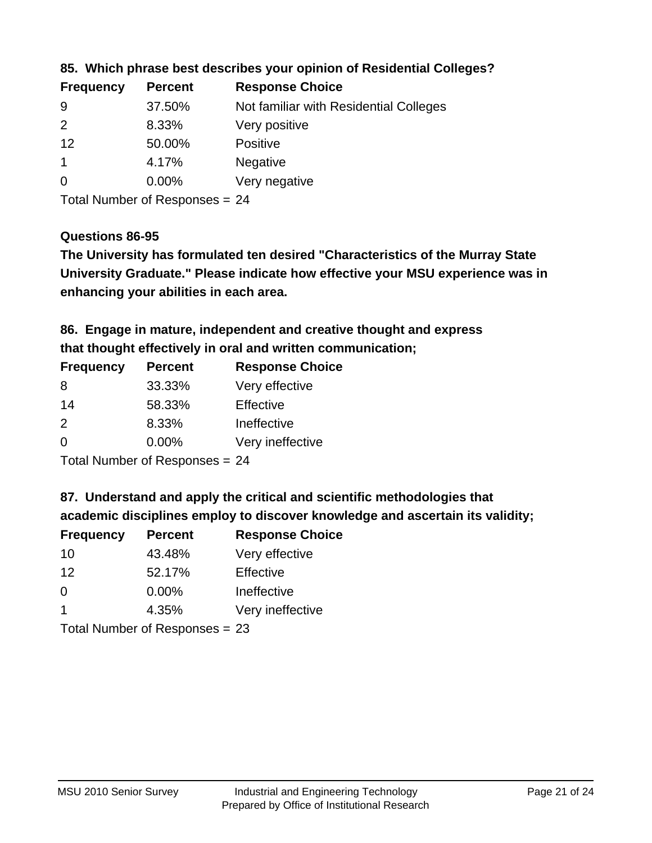| <b>Frequency</b> | <b>Percent</b> | <b>Response Choice</b>                 |
|------------------|----------------|----------------------------------------|
| -9               | 37.50%         | Not familiar with Residential Colleges |
| $\mathcal{P}$    | 8.33%          | Very positive                          |
| 12               | 50.00%         | <b>Positive</b>                        |
|                  | 4.17%          | <b>Negative</b>                        |
| $\overline{0}$   | 0.00%          | Very negative                          |
|                  |                |                                        |

#### **85. Which phrase best describes your opinion of Residential Colleges?**

Total Number of Responses = 24

#### **Questions 86-95**

**University Graduate." Please indicate how effective your MSU experience was in The University has formulated ten desired "Characteristics of the Murray State enhancing your abilities in each area.**

**86. Engage in mature, independent and creative thought and express that thought effectively in oral and written communication;**

| <b>Frequency</b> | <b>Percent</b> | <b>Response Choice</b> |
|------------------|----------------|------------------------|
| 8                | 33.33%         | Very effective         |
| 14               | 58.33%         | Effective              |
| $\mathcal{P}$    | 8.33%          | Ineffective            |
| $\Omega$         | $0.00\%$       | Very ineffective       |

Total Number of Responses = 24

#### **87. Understand and apply the critical and scientific methodologies that**

**academic disciplines employ to discover knowledge and ascertain its validity;**

| <b>Frequency</b> | <b>Percent</b> | <b>Response Choice</b> |
|------------------|----------------|------------------------|
| 10               | 43.48%         | Very effective         |
| 12               | 52.17%         | Effective              |
| $\Omega$         | 0.00%          | Ineffective            |
| $\overline{1}$   | 4.35%          | Very ineffective       |
|                  |                |                        |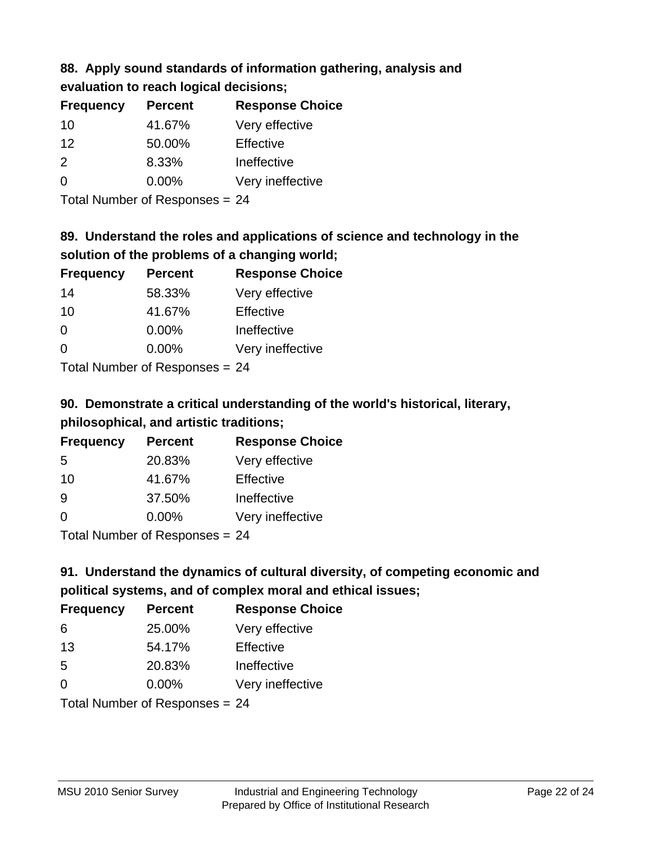# **88. Apply sound standards of information gathering, analysis and**

| evaluation to reach logical decisions; |  |
|----------------------------------------|--|
|----------------------------------------|--|

| <b>Percent</b> | <b>Response Choice</b> |
|----------------|------------------------|
| 41.67%         | Very effective         |
| 50.00%         | Effective              |
| 8.33%          | Ineffective            |
| $0.00\%$       | Very ineffective       |
|                |                        |

Total Number of Responses = 24

# **89. Understand the roles and applications of science and technology in the solution of the problems of a changing world;**

| <b>Frequency</b> | <b>Percent</b> | <b>Response Choice</b> |
|------------------|----------------|------------------------|
| 14               | 58.33%         | Very effective         |
| 10               | 41.67%         | Effective              |
| $\Omega$         | 0.00%          | Ineffective            |
| $\Omega$         | 0.00%          | Very ineffective       |
|                  |                |                        |

Total Number of Responses = 24

# **90. Demonstrate a critical understanding of the world's historical, literary, philosophical, and artistic traditions;**

| <b>Frequency</b> | <b>Percent</b> | <b>Response Choice</b> |
|------------------|----------------|------------------------|
| 5                | 20.83%         | Very effective         |
| 10               | 41.67%         | Effective              |
| 9                | 37.50%         | Ineffective            |
| $\Omega$         | 0.00%          | Very ineffective       |
|                  |                |                        |

Total Number of Responses = 24

# **91. Understand the dynamics of cultural diversity, of competing economic and political systems, and of complex moral and ethical issues;**

| <b>Frequency</b> | <b>Percent</b>                 | <b>Response Choice</b> |
|------------------|--------------------------------|------------------------|
| 6                | 25.00%                         | Very effective         |
| 13               | 54.17%                         | Effective              |
| 5                | 20.83%                         | Ineffective            |
| $\Omega$         | 0.00%                          | Very ineffective       |
|                  | Total Number of Responses = 24 |                        |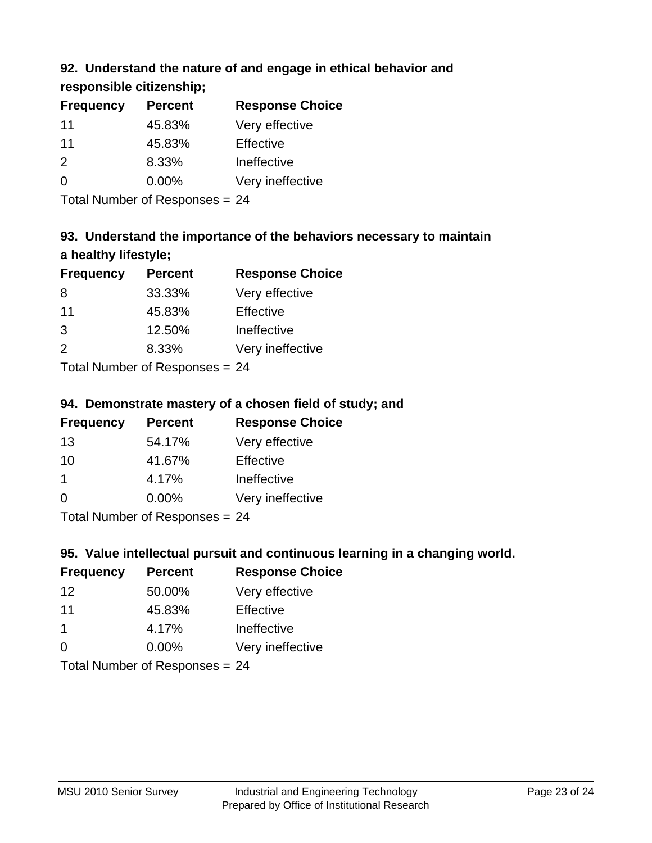# **92. Understand the nature of and engage in ethical behavior and**

**responsible citizenship;**

| <b>Frequency</b> | <b>Percent</b> | <b>Response Choice</b> |
|------------------|----------------|------------------------|
| 11               | 45.83%         | Very effective         |
| 11               | 45.83%         | Effective              |
| $\mathcal{P}$    | 8.33%          | Ineffective            |
| $\Omega$         | $0.00\%$       | Very ineffective       |
|                  |                |                        |

Total Number of Responses = 24

# **93. Understand the importance of the behaviors necessary to maintain a healthy lifestyle;**

| <b>Frequency</b> | <b>Percent</b>                           | <b>Response Choice</b> |
|------------------|------------------------------------------|------------------------|
| 8                | 33.33%                                   | Very effective         |
| 11               | 45.83%                                   | Effective              |
| 3                | 12.50%                                   | Ineffective            |
| $\mathcal{P}$    | 8.33%                                    | Very ineffective       |
|                  | $T$ at all Message and $D$ are a serious |                        |

Total Number of Responses = 24

# **94. Demonstrate mastery of a chosen field of study; and**

| <b>Frequency</b> | <b>Percent</b> | <b>Response Choice</b> |
|------------------|----------------|------------------------|
| 13               | 54.17%         | Very effective         |
| 10               | 41.67%         | Effective              |
|                  | 4.17%          | Ineffective            |
| $\Omega$         | $0.00\%$       | Very ineffective       |
|                  |                |                        |

Total Number of Responses = 24

# **95. Value intellectual pursuit and continuous learning in a changing world.**

| <b>Frequency</b> | <b>Percent</b> | <b>Response Choice</b> |
|------------------|----------------|------------------------|
| 12               | 50.00%         | Very effective         |
| 11               | 45.83%         | Effective              |
| 1                | 4.17%          | Ineffective            |
| $\Omega$         | 0.00%          | Very ineffective       |
|                  |                |                        |